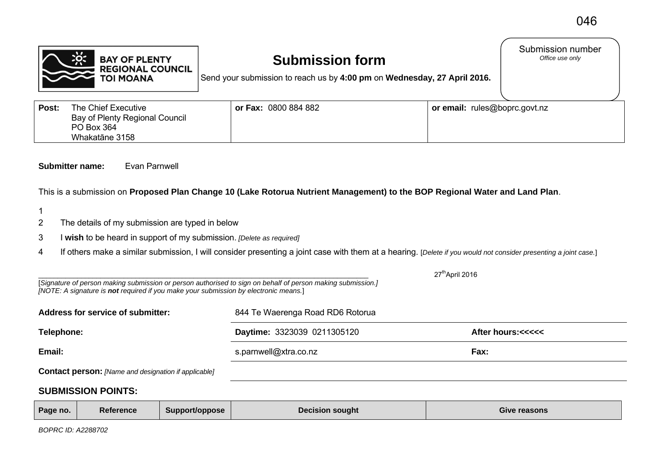

## **Submission form**

Submission number<br>Office use only

Send your submission to reach us by **4:00 pm** on **Wednesday, 27 April 2016.**

| Post: | The Chief Executive<br>Bay of Plenty Regional Council<br>PO Box 364<br>Whakatāne 3158 | or Fax: 0800 884 882 | or email: rules@boprc.govt.nz |
|-------|---------------------------------------------------------------------------------------|----------------------|-------------------------------|
|-------|---------------------------------------------------------------------------------------|----------------------|-------------------------------|

## **Submitter name:** Evan Parnwell

This is a submission on **Proposed Plan Change 10 (Lake Rotorua Nutrient Management) to the BOP Regional Water and Land Plan**.

- 1
- 2 The details of my submission are typed in below
- 3 I **wish** to be heard in support of my submission. *[Delete as required]*
- 4 If others make a similar submission, I will consider presenting a joint case with them at a hearing. [*Delete if you would not consider presenting a joint case.*]

|                                   |                                                                                      |                |                                                                                                             | 27 <sup>th</sup> April 2016             |
|-----------------------------------|--------------------------------------------------------------------------------------|----------------|-------------------------------------------------------------------------------------------------------------|-----------------------------------------|
|                                   | [NOTE: A signature is not required if you make your submission by electronic means.] |                | [Signature of person making submission or person authorised to sign on behalf of person making submission.] |                                         |
| Address for service of submitter: |                                                                                      |                | 844 Te Waerenga Road RD6 Rotorua                                                                            |                                         |
| Telephone:                        |                                                                                      |                | Daytime: 3323039 0211305120                                                                                 | After hours:<<<<<                       |
| Email:                            |                                                                                      |                | s.parnwell@xtra.co.nz                                                                                       | Fax:                                    |
|                                   | <b>Contact person:</b> [Name and designation if applicable]                          |                |                                                                                                             |                                         |
| <b>SUBMISSION POINTS:</b>         |                                                                                      |                |                                                                                                             |                                         |
| Dana ma                           | <b>Deference</b>                                                                     | P <sub>1</sub> | Desisian sausht                                                                                             | $P1$ $\sim$ $\sim$ $\sim$ $\sim$ $\sim$ |

| Page no. | Reference | Support/oppose | <b>Decision sought</b> | <b>Give reasons</b> |
|----------|-----------|----------------|------------------------|---------------------|
|          |           |                |                        |                     |